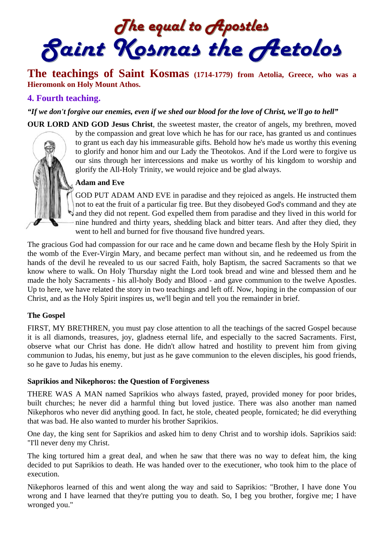The equal to Apostles<br>Saint Kosmas the Aetolos

# **The teachings of Saint Kosmas (1714-1779) from Aetolia, Greece, who was a Hieromonk on Holy Mount Athos.**

## **4. Fourth teaching.**

*"If we don't forgive our enemies, even if we shed our blood for the love of Christ, we'll go to hell"*



**OUR LORD AND GOD Jesus Christ**, the sweetest master, the creator of angels, my brethren, moved by the compassion and great love which he has for our race, has granted us and continues to grant us each day his immeasurable gifts. Behold how he's made us worthy this evening to glorify and honor him and our Lady the Theotokos. And if the Lord were to forgive us our sins through her intercessions and make us worthy of his kingdom to worship and glorify the All-Holy Trinity, we would rejoice and be glad always.

#### **Adam and Eve**

GOD PUT ADAM AND EVE in paradise and they rejoiced as angels. He instructed them not to eat the fruit of a particular fig tree. But they disobeyed God's command and they ate and they did not repent. God expelled them from paradise and they lived in this world for nine hundred and thirty years, shedding black and bitter tears. And after they died, they went to hell and burned for five thousand five hundred years.

The gracious God had compassion for our race and he came down and became flesh by the Holy Spirit in the womb of the Ever-Virgin Mary, and became perfect man without sin, and he redeemed us from the hands of the devil he revealed to us our sacred Faith, holy Baptism, the sacred Sacraments so that we know where to walk. On Holy Thursday night the Lord took bread and wine and blessed them and he made the holy Sacraments - his all-holy Body and Blood - and gave communion to the twelve Apostles. Up to here, we have related the story in two teachings and left off. Now, hoping in the compassion of our Christ, and as the Holy Spirit inspires us, we'll begin and tell you the remainder in brief.

### **The Gospel**

FIRST, MY BRETHREN, you must pay close attention to all the teachings of the sacred Gospel because it is all diamonds, treasures, joy, gladness eternal life, and especially to the sacred Sacraments. First, observe what our Christ has done. He didn't allow hatred and hostility to prevent him from giving communion to Judas, his enemy, but just as he gave communion to the eleven disciples, his good friends, so he gave to Judas his enemy.

#### **Saprikios and Nikephoros: the Question of Forgiveness**

THERE WAS A MAN named Saprikios who always fasted, prayed, provided money for poor brides, built churches; he never did a harmful thing but loved justice. There was also another man named Nikephoros who never did anything good. In fact, he stole, cheated people, fornicated; he did everything that was bad. He also wanted to murder his brother Saprikios.

One day, the king sent for Saprikios and asked him to deny Christ and to worship idols. Saprikios said: "I'll never deny my Christ.

The king tortured him a great deal, and when he saw that there was no way to defeat him, the king decided to put Saprikios to death. He was handed over to the executioner, who took him to the place of execution.

Nikephoros learned of this and went along the way and said to Saprikios: "Brother, I have done You wrong and I have learned that they're putting you to death. So, I beg you brother, forgive me; I have wronged you."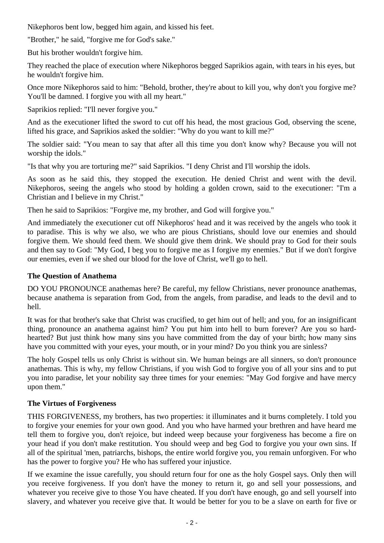Nikephoros bent low, begged him again, and kissed his feet.

"Brother," he said, "forgive me for God's sake."

But his brother wouldn't forgive him.

They reached the place of execution where Nikephoros begged Saprikios again, with tears in his eyes, but he wouldn't forgive him.

Once more Nikephoros said to him: "Behold, brother, they're about to kill you, why don't you forgive me? You'll be damned. I forgive you with all my heart."

Saprikios replied: "I'll never forgive you."

And as the executioner lifted the sword to cut off his head, the most gracious God, observing the scene, lifted his grace, and Saprikios asked the soldier: "Why do you want to kill me?"

The soldier said: "You mean to say that after all this time you don't know why? Because you will not worship the idols."

"Is that why you are torturing me?" said Saprikios. "I deny Christ and I'll worship the idols.

As soon as he said this, they stopped the execution. He denied Christ and went with the devil. Nikephoros, seeing the angels who stood by holding a golden crown, said to the executioner: "I'm a Christian and I believe in my Christ."

Then he said to Saprikios: "Forgive me, my brother, and God will forgive you."

And immediately the executioner cut off Nikephoros' head and it was received by the angels who took it to paradise. This is why we also, we who are pious Christians, should love our enemies and should forgive them. We should feed them. We should give them drink. We should pray to God for their souls and then say to God: "My God, I beg you to forgive me as I forgive my enemies." But if we don't forgive our enemies, even if we shed our blood for the love of Christ, we'll go to hell.

## **The Question of Anathema**

DO YOU PRONOUNCE anathemas here? Be careful, my fellow Christians, never pronounce anathemas, because anathema is separation from God, from the angels, from paradise, and leads to the devil and to hell.

It was for that brother's sake that Christ was crucified, to get him out of hell; and you, for an insignificant thing, pronounce an anathema against him? You put him into hell to burn forever? Are you so hardhearted? But just think how many sins you have committed from the day of your birth; how many sins have you committed with your eyes, your mouth, or in your mind? Do you think you are sinless?

The holy Gospel tells us only Christ is without sin. We human beings are all sinners, so don't pronounce anathemas. This is why, my fellow Christians, if you wish God to forgive you of all your sins and to put you into paradise, let your nobility say three times for your enemies: "May God forgive and have mercy upon them."

## **The Virtues of Forgiveness**

THIS FORGIVENESS, my brothers, has two properties: it illuminates and it burns completely. I told you to forgive your enemies for your own good. And you who have harmed your brethren and have heard me tell them to forgive you, don't rejoice, but indeed weep because your forgiveness has become a fire on your head if you don't make restitution. You should weep and beg God to forgive you your own sins. If all of the spiritual 'men, patriarchs, bishops, the entire world forgive you, you remain unforgiven. For who has the power to forgive you? He who has suffered your injustice.

If we examine the issue carefully, you should return four for one as the holy Gospel says. Only then will you receive forgiveness. If you don't have the money to return it, go and sell your possessions, and whatever you receive give to those You have cheated. If you don't have enough, go and sell yourself into slavery, and whatever you receive give that. It would be better for you to be a slave on earth for five or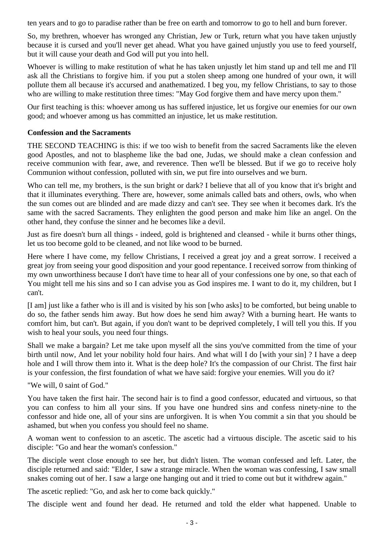ten years and to go to paradise rather than be free on earth and tomorrow to go to hell and burn forever.

So, my brethren, whoever has wronged any Christian, Jew or Turk, return what you have taken unjustly because it is cursed and you'll never get ahead. What you have gained unjustly you use to feed yourself, but it will cause your death and God will put you into hell.

Whoever is willing to make restitution of what he has taken unjustly let him stand up and tell me and I'll ask all the Christians to forgive him. if you put a stolen sheep among one hundred of your own, it will pollute them all because it's accursed and anathematized. I beg you, my fellow Christians, to say to those who are willing to make restitution three times: "May God forgive them and have mercy upon them."

Our first teaching is this: whoever among us has suffered injustice, let us forgive our enemies for our own good; and whoever among us has committed an injustice, let us make restitution.

#### **Confession and the Sacraments**

THE SECOND TEACHING is this: if we too wish to benefit from the sacred Sacraments like the eleven good Apostles, and not to blaspheme like the bad one, Judas, we should make a clean confession and receive communion with fear, awe, and reverence. Then we'll be blessed. But if we go to receive holy Communion without confession, polluted with sin, we put fire into ourselves and we burn.

Who can tell me, my brothers, is the sun bright or dark? I believe that all of you know that it's bright and that it illuminates everything. There are, however, some animals called bats and others, owls, who when the sun comes out are blinded and are made dizzy and can't see. They see when it becomes dark. It's the same with the sacred Sacraments. They enlighten the good person and make him like an angel. On the other hand, they confuse the sinner and he becomes like a devil.

Just as fire doesn't burn all things - indeed, gold is brightened and cleansed - while it burns other things, let us too become gold to be cleaned, and not like wood to be burned.

Here where I have come, my fellow Christians, I received a great joy and a great sorrow. I received a great joy from seeing your good disposition and your good repentance. I received sorrow from thinking of my own unworthiness because I don't have time to hear all of your confessions one by one, so that each of You might tell me his sins and so I can advise you as God inspires me. I want to do it, my children, but I can't.

[I am] just like a father who is ill and is visited by his son [who asks] to be comforted, but being unable to do so, the father sends him away. But how does he send him away? With a burning heart. He wants to comfort him, but can't. But again, if you don't want to be deprived completely, I will tell you this. If you wish to heal your souls, you need four things.

Shall we make a bargain? Let me take upon myself all the sins you've committed from the time of your birth until now, And let your nobility hold four hairs. And what will I do [with your sin] ? I have a deep hole and I will throw them into it. What is the deep hole? It's the compassion of our Christ. The first hair is your confession, the first foundation of what we have said: forgive your enemies. Will you do it?

"We will, 0 saint of God."

You have taken the first hair. The second hair is to find a good confessor, educated and virtuous, so that you can confess to him all your sins. If you have one hundred sins and confess ninety-nine to the confessor and hide one, all of your sins are unforgiven. It is when You commit a sin that you should be ashamed, but when you confess you should feel no shame.

A woman went to confession to an ascetic. The ascetic had a virtuous disciple. The ascetic said to his disciple: "Go and hear the woman's confession."

The disciple went close enough to see her, but didn't listen. The woman confessed and left. Later, the disciple returned and said: "Elder, I saw a strange miracle. When the woman was confessing, I saw small snakes coming out of her. I saw a large one hanging out and it tried to come out but it withdrew again."

The ascetic replied: "Go, and ask her to come back quickly."

The disciple went and found her dead. He returned and told the elder what happened. Unable to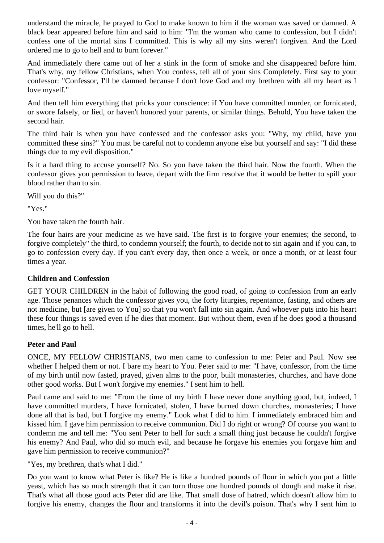understand the miracle, he prayed to God to make known to him if the woman was saved or damned. A black bear appeared before him and said to him: "I'm the woman who came to confession, but I didn't confess one of the mortal sins I committed. This is why all my sins weren't forgiven. And the Lord ordered me to go to hell and to burn forever."

And immediately there came out of her a stink in the form of smoke and she disappeared before him. That's why, my fellow Christians, when You confess, tell all of your sins Completely. First say to your confessor: "Confessor, I'll be damned because I don't love God and my brethren with all my heart as I love myself."

And then tell him everything that pricks your conscience: if You have committed murder, or fornicated, or swore falsely, or lied, or haven't honored your parents, or similar things. Behold, You have taken the second hair.

The third hair is when you have confessed and the confessor asks you: "Why, my child, have you committed these sins?" You must be careful not to condemn anyone else but yourself and say: "I did these things due to my evil disposition."

Is it a hard thing to accuse yourself? No. So you have taken the third hair. Now the fourth. When the confessor gives you permission to leave, depart with the firm resolve that it would be better to spill your blood rather than to sin.

Will you do this?"

"Yes."

You have taken the fourth hair.

The four hairs are your medicine as we have said. The first is to forgive your enemies; the second, to forgive completely" the third, to condemn yourself; the fourth, to decide not to sin again and if you can, to go to confession every day. If you can't every day, then once a week, or once a month, or at least four times a year.

### **Children and Confession**

GET YOUR CHILDREN in the habit of following the good road, of going to confession from an early age. Those penances which the confessor gives you, the forty liturgies, repentance, fasting, and others are not medicine, but [are given to You] so that you won't fall into sin again. And whoever puts into his heart these four things is saved even if he dies that moment. But without them, even if he does good a thousand times, he'll go to hell.

## **Peter and Paul**

ONCE, MY FELLOW CHRISTIANS, two men came to confession to me: Peter and Paul. Now see whether I helped them or not. I bare my heart to You. Peter said to me: "I have, confessor, from the time of my birth until now fasted, prayed, given alms to the poor, built monasteries, churches, and have done other good works. But I won't forgive my enemies." I sent him to hell.

Paul came and said to me: "From the time of my birth I have never done anything good, but, indeed, I have committed murders, I have fornicated, stolen, I have burned down churches, monasteries; I have done all that is bad, but I forgive my enemy." Look what I did to him. I immediately embraced him and kissed him. I gave him permission to receive communion. Did I do right or wrong? Of course you want to condemn me and tell me: "You sent Peter to hell for such a small thing just because he couldn't forgive his enemy? And Paul, who did so much evil, and because he forgave his enemies you forgave him and gave him permission to receive communion?"

"Yes, my brethren, that's what I did."

Do you want to know what Peter is like? He is like a hundred pounds of flour in which you put a little yeast, which has so much strength that it can turn those one hundred pounds of dough and make it rise. That's what all those good acts Peter did are like. That small dose of hatred, which doesn't allow him to forgive his enemy, changes the flour and transforms it into the devil's poison. That's why I sent him to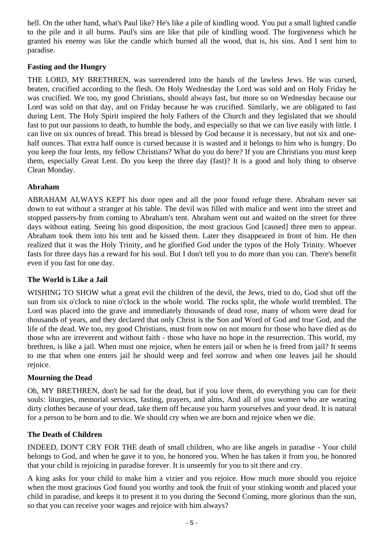hell. On the other hand, what's Paul like? He's like a pile of kindling wood. You put a small lighted candle to the pile and it all burns. Paul's sins are like that pile of kindling wood. The forgiveness which he granted his enemy was like the candle which burned all the wood, that is, his sins. And I sent him to paradise.

### **Fasting and the Hungry**

THE LORD, MY BRETHREN, was surrendered into the hands of the lawless Jews. He was cursed, beaten, crucified according to the flesh. On Holy Wednesday the Lord was sold and on Holy Friday he was crucified. We too, my good Christians, should always fast, but more so on Wednesday because our Lord was sold on that day, and on Friday because he was crucified. Similarly, we are obligated to fast during Lent. The Holy Spirit inspired the holy Fathers of the Church and they legislated that we should fast to put our passions to death, to humble the body, and especially so that we can live easily with little. I can live on six ounces of bread. This bread is blessed by God because it is necessary, but not six and onehalf ounces. That extra half ounce is cursed because it is wasted and it belongs to him who is hungry. Do you keep the four lents, my fellow Christians? What do you do here? If you are Christians you must keep them, especially Great Lent. Do you keep the three day (fast)? It is a good and holy thing to observe Clean Monday.

## **Abraham**

ABRAHAM ALWAYS KEPT his door open and all the poor found refuge there. Abraham never sat down to eat without a stranger at his table. The devil was filled with malice and went into the street and stopped passers-by from coming to Abraham's tent. Abraham went out and waited on the street for three days without eating. Seeing his good disposition, the most gracious God [caused] three men to appear. Abraham took them into his tent and he kissed them. Later they disappeared in front of him. He then realized that it was the Holy Trinity, and he glorified God under the typos of the Holy Trinity. Whoever fasts for three days has a reward for his soul. But I don't tell you to do more than you can. There's benefit even if you fast for one day.

### **The World is Like a Jail**

WISHING TO SHOW what a great evil the children of the devil, the Jews, tried to do, God shut off the sun from six o'clock to nine o'clock in the whole world. The rocks split, the whole world trembled. The Lord was placed into the grave and immediately thousands of dead rose, many of whom were dead for thousands of years, and they declared that only Christ is the Son and Word of God and true God, and the life of the dead. We too, my good Christians, must from now on not mourn for those who have died as do those who are irreverent and without faith - those who have no hope in the resurrection. This world, my brethren, is like a jail. When must one rejoice, when he enters jail or when he is freed from jail? It seems to me that when one enters jail he should weep and feel sorrow and when one leaves jail he should rejoice.

### **Mourning the Dead**

Oh, MY BRETHREN, don't be sad for the dead, but if you love them, do everything you can for their souls: liturgies, memorial services, fasting, prayers, and alms, And all of you women who are wearing dirty clothes because of your dead, take them off because you harm yourselves and your dead. It is natural for a person to be born and to die. We should cry when we are born and rejoice when we die.

### **The Death of Children**

INDEED, DON'T CRY FOR THE death of small children, who are like angels in paradise - Your child belongs to God, and when he gave it to you, he honored you. When he has taken it from you, be honored that your child is rejoicing in paradise forever. It is unseemly for you to sit there and cry.

A king asks for your child to make him a vizier and you rejoice. How much more should you rejoice when the most gracious God found you worthy and took the fruit of your stinking womb and placed your child in paradise, and keeps it to present it to you during the Second Coming, more glorious than the sun, so that you can receive your wages and rejoice with him always?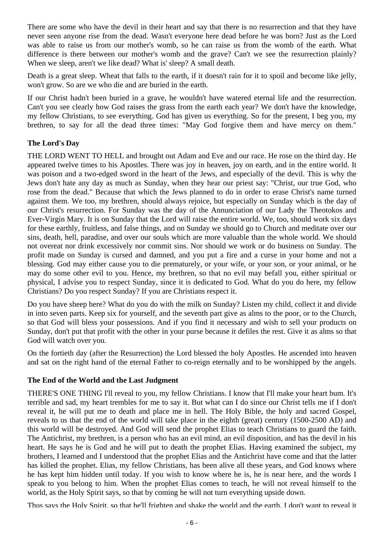There are some who have the devil in their heart and say that there is no resurrection and that they have never seen anyone rise from the dead. Wasn't everyone here dead before he was born? Just as the Lord was able to raise us from our mother's womb, so he can raise us from the womb of the earth. What difference is there between our mother's womb and the grave? Can't we see the resurrection plainly? When we sleep, aren't we like dead? What is' sleep? A small death.

Death is a great sleep. Wheat that falls to the earth, if it doesn't rain for it to spoil and become like jelly, won't grow. So are we who die and are buried in the earth.

If our Christ hadn't been buried in a grave, he wouldn't have watered eternal life and the resurrection. Can't you see clearly how God raises the grass from the earth each year? We don't have the knowledge, my fellow Christians, to see everything. God has given us everything. So for the present, I beg you, my brethren, to say for all the dead three times: "May God forgive them and have mercy on them."

## **The Lord's Day**

THE LORD WENT TO HELL and brought out Adam and Eve and our race. He rose on the third day. He appeared twelve times to his Apostles. There was joy in heaven, joy on earth, and in the entire world. It was poison and a two-edged sword in the heart of the Jews, and especially of the devil. This is why the Jews don't hate any day as much as Sunday, when they hear our priest say: "Christ, our true God, who rose from the dead." Because that which the Jews planned to do in order to erase Christ's name turned against them. We too, my brethren, should always rejoice, but especially on Sunday which is the day of our Christ's resurrection. For Sunday was the day of the Annunciation of our Lady the Theotokos and Ever-Virgin Mary. It is on Sunday that the Lord will raise the entire world. We, too, should work six days for these earthly, fruitless, and false things, and on Sunday we should go to Church and meditate over our sins, death, hell, paradise, and over our souls which are more valuable than the whole world. We should not overeat nor drink excessively nor commit sins. Nor should we work or do business on Sunday. The profit made on Sunday is cursed and damned, and you put a fire and a curse in your home and not a blessing. God may either cause you to die prematurely, or your wife, or your son, or your animal, or he may do some other evil to you. Hence, my brethren, so that no evil may befall you, either spiritual or physical, I advise you to respect Sunday, since it is dedicated to God. What do you do here, my fellow Christians? Do you respect Sunday? If you are Christians respect it.

Do you have sheep here? What do you do with the milk on Sunday? Listen my child, collect it and divide in into seven parts. Keep six for yourself, and the seventh part give as alms to the poor, or to the Church, so that God will bless your possessions. And if you find it necessary and wish to sell your products on Sunday, don't put that profit with the other in your purse because it defiles the rest. Give it as alms so that God will watch over you.

On the fortieth day (after the Resurrection) the Lord blessed the holy Apostles. He ascended into heaven and sat on the right hand of the eternal Father to co-reign eternally and to be worshipped by the angels.

## **The End of the World and the Last Judgment**

THERE'S ONE THING I'll reveal to you, my fellow Christians. I know that I'll make your heart bum. It's terrible and sad, my heart trembles for me to say it. But what can I do since our Christ tells me if I don't reveal it, he will put me to death and place me in hell. The Holy Bible, the holy and sacred Gospel, reveals to us that the end of the world will take place in the eighth (great) century (1500-2500 AD) and this world will be destroyed. And God will send the prophet Elias to teach Christians to guard the faith. The Antichrist, my brethren, is a person who has an evil mind, an evil disposition, and has the devil in his heart. He says he is God and he will put to death the prophet Elias. Having examined the subject, my brothers, I learned and I understood that the prophet Elias and the Antichrist have come and that the latter has killed the prophet. Elias, my fellow Christians, has been alive all these years, and God knows where he has kept him hidden until today. If you wish to know where he is, he is near here, and the words I speak to you belong to him. When the prophet Elias comes to teach, he will not reveal himself to the world, as the Holy Spirit says, so that by coming he will not turn everything upside down.

Thus says the Holy Spirit, so that he'll frighten and shake the world and the earth. I don't want to reveal it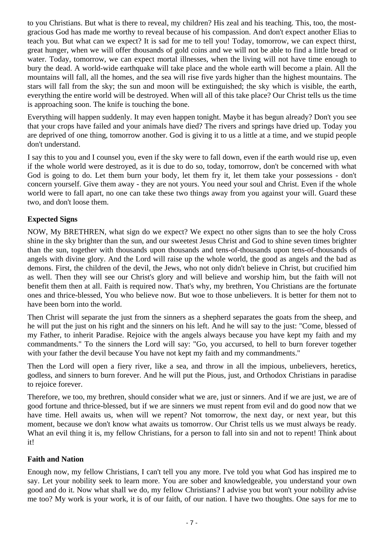to you Christians. But what is there to reveal, my children? His zeal and his teaching. This, too, the mostgracious God has made me worthy to reveal because of his compassion. And don't expect another Elias to teach you. But what can we expect? It is sad for me to tell you! Today, tomorrow, we can expect thirst, great hunger, when we will offer thousands of gold coins and we will not be able to find a little bread or water. Today, tomorrow, we can expect mortal illnesses, when the living will not have time enough to bury the dead. A world-wide earthquake will take place and the whole earth will become a plain. All the mountains will fall, all the homes, and the sea will rise five yards higher than the highest mountains. The stars will fall from the sky; the sun and moon will be extinguished; the sky which is visible, the earth, everything the entire world will be destroyed. When will all of this take place? Our Christ tells us the time is approaching soon. The knife is touching the bone.

Everything will happen suddenly. It may even happen tonight. Maybe it has begun already? Don't you see that your crops have failed and your animals have died? The rivers and springs have dried up. Today you are deprived of one thing, tomorrow another. God is giving it to us a little at a time, and we stupid people don't understand.

I say this to you and I counsel you, even if the sky were to fall down, even if the earth would rise up, even if the whole world were destroyed, as it is due to do so, today, tomorrow, don't be concerned with what God is going to do. Let them burn your body, let them fry it, let them take your possessions - don't concern yourself. Give them away - they are not yours. You need your soul and Christ. Even if the whole world were to fall apart, no one can take these two things away from you against your will. Guard these two, and don't loose them.

### **Expected Signs**

NOW, My BRETHREN, what sign do we expect? We expect no other signs than to see the holy Cross shine in the sky brighter than the sun, and our sweetest Jesus Christ and God to shine seven times brighter than the sun, together with thousands upon thousands and tens-of-thousands upon tens-of-thousands of angels with divine glory. And the Lord will raise up the whole world, the good as angels and the bad as demons. First, the children of the devil, the Jews, who not only didn't believe in Christ, but crucified him as well. Then they will see our Christ's glory and will believe and worship him, but the faith will not benefit them then at all. Faith is required now. That's why, my brethren, You Christians are the fortunate ones and thrice-blessed, You who believe now. But woe to those unbelievers. It is better for them not to have been born into the world.

Then Christ will separate the just from the sinners as a shepherd separates the goats from the sheep, and he will put the just on his right and the sinners on his left. And he will say to the just: "Come, blessed of my Father, to inherit Paradise. Rejoice with the angels always because you have kept my faith and my commandments." To the sinners the Lord will say: "Go, you accursed, to hell to burn forever together with your father the devil because You have not kept my faith and my commandments."

Then the Lord will open a fiery river, like a sea, and throw in all the impious, unbelievers, heretics, godless, and sinners to burn forever. And he will put the Pious, just, and Orthodox Christians in paradise to rejoice forever.

Therefore, we too, my brethren, should consider what we are, just or sinners. And if we are just, we are of good fortune and thrice-blessed, but if we are sinners we must repent from evil and do good now that we have time. Hell awaits us, when will we repent? Not tomorrow, the next day, or next year, but this moment, because we don't know what awaits us tomorrow. Our Christ tells us we must always be ready. What an evil thing it is, my fellow Christians, for a person to fall into sin and not to repent! Think about it!

### **Faith and Nation**

Enough now, my fellow Christians, I can't tell you any more. I've told you what God has inspired me to say. Let your nobility seek to learn more. You are sober and knowledgeable, you understand your own good and do it. Now what shall we do, my fellow Christians? I advise you but won't your nobility advise me too? My work is your work, it is of our faith, of our nation. I have two thoughts. One says for me to